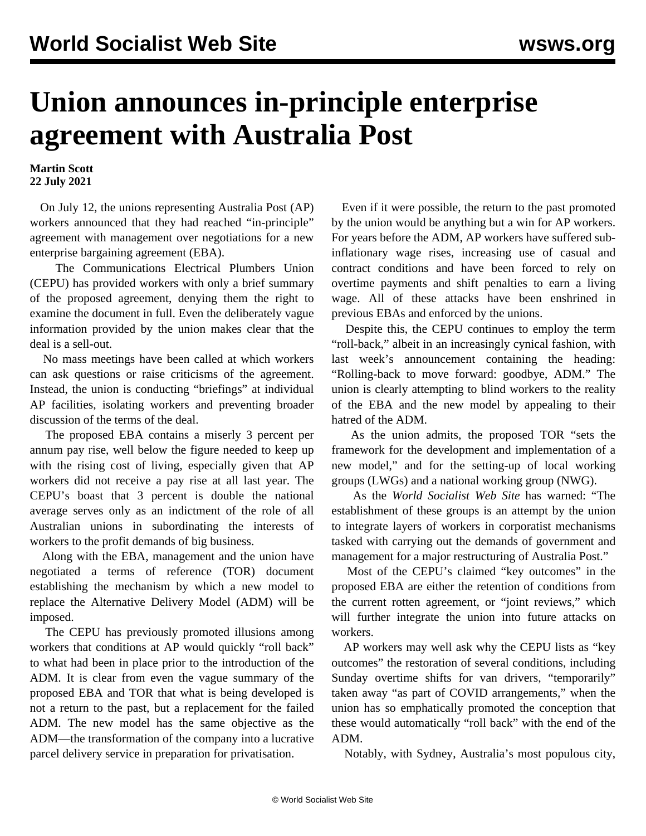## **Union announces in-principle enterprise agreement with Australia Post**

**Martin Scott 22 July 2021**

 On July 12, the unions representing Australia Post (AP) workers announced that they had reached "in-principle" agreement with management over negotiations for a new enterprise bargaining agreement (EBA).

 The Communications Electrical Plumbers Union (CEPU) has provided workers with only a brief summary of the proposed agreement, denying them the right to examine the document in full. Even the deliberately vague information provided by the union makes clear that the deal is a sell-out.

 No mass meetings have been called at which workers can ask questions or raise criticisms of the agreement. Instead, the union is conducting "briefings" at individual AP facilities, isolating workers and preventing broader discussion of the terms of the deal.

 The proposed EBA contains a miserly 3 percent per annum pay rise, well below the figure needed to keep up with the rising cost of living, especially given that AP workers did not receive a pay rise at all last year. The CEPU's boast that 3 percent is double the national average serves only as an indictment of the role of all Australian unions in subordinating the interests of workers to the profit demands of big business.

 Along with the EBA, management and the union have negotiated a terms of reference (TOR) document establishing the mechanism by which a new model to replace the Alternative Delivery Model (ADM) will be imposed.

 The CEPU has previously promoted illusions among workers that conditions at AP would quickly "roll back" to what had been in place prior to the introduction of the ADM. It is clear from even the vague summary of the proposed EBA and TOR that what is being developed is not a return to the past, but a replacement for the failed ADM. The new model has the same objective as the ADM—the transformation of the company into a lucrative parcel delivery service in preparation for privatisation.

 Even if it were possible, the return to the past promoted by the union would be anything but a win for AP workers. For years before the ADM, AP workers have suffered subinflationary wage rises, increasing use of casual and contract conditions and have been forced to rely on overtime payments and shift penalties to earn a living wage. All of these attacks have been enshrined in previous EBAs and enforced by the unions.

 Despite this, the CEPU continues to employ the term "roll-back," albeit in an increasingly cynical fashion, with last week's announcement containing the heading: "Rolling-back to move forward: goodbye, ADM." The union is clearly attempting to blind workers to the reality of the EBA and the new model by appealing to their hatred of the ADM.

 As the union admits, the proposed TOR "sets the framework for the development and implementation of a new model," and for the setting-up of local working groups (LWGs) and a national working group (NWG).

 As the *World Socialist Web Site* has [warned](/en/articles/2021/07/02/aupo-j02.html): "The establishment of these groups is an attempt by the union to integrate layers of workers in corporatist mechanisms tasked with carrying out the demands of government and management for a major restructuring of Australia Post."

 Most of the CEPU's claimed "key outcomes" in the proposed EBA are either the retention of conditions from the current rotten agreement, or "joint reviews," which will further integrate the union into future attacks on workers.

 AP workers may well ask why the CEPU lists as "key outcomes" the restoration of several conditions, including Sunday overtime shifts for van drivers, "temporarily" taken away "as part of COVID arrangements," when the union has so emphatically promoted the conception that these would automatically "roll back" with the end of the ADM.

Notably, with Sydney, Australia's most populous city,